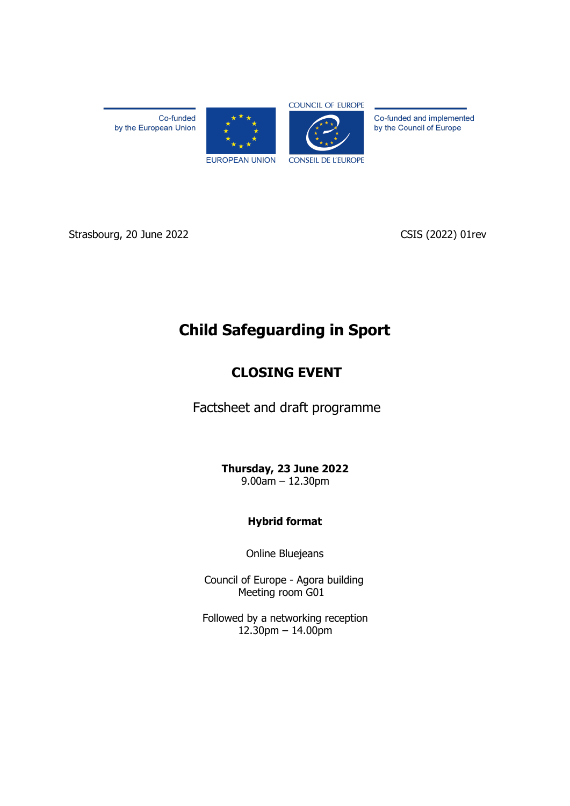Co-funded by the European Union





Co-funded and implemented by the Council of Europe

Strasbourg, 20 June 2022 CSIS (2022) 01rev

# **Child Safeguarding in Sport**

# **CLOSING EVENT**

Factsheet and draft programme

**Thursday, 23 June 2022** 9.00am – 12.30pm

# **Hybrid format**

Online Bluejeans

Council of Europe - Agora building Meeting room G01

Followed by a networking reception 12.30pm – 14.00pm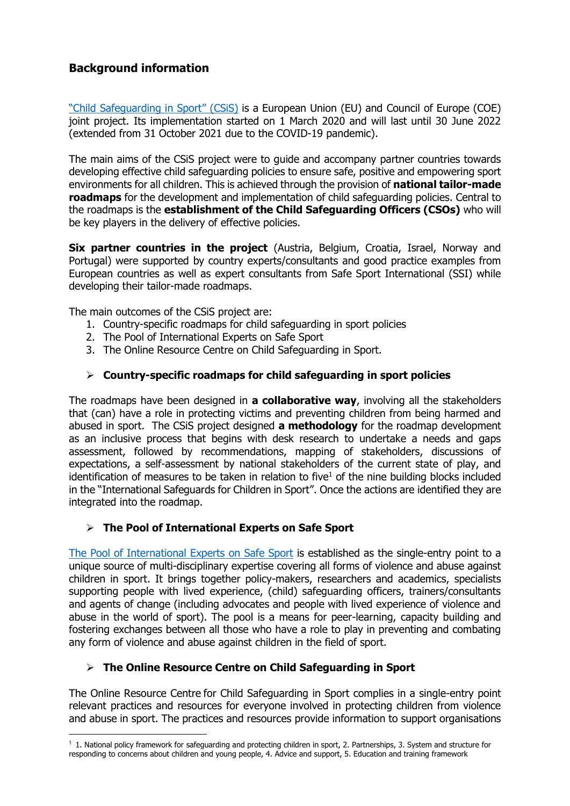# **Background information**

["Child Safeguarding in Sport" \(CSiS\)](https://pjp-eu.coe.int/en/web/pss/home) is a European Union (EU) and Council of Europe (COE) joint project. Its implementation started on 1 March 2020 and will last until 30 June 2022 (extended from 31 October 2021 due to the COVID-19 pandemic).

The main aims of the CSiS project were to guide and accompany partner countries towards developing effective child safeguarding policies to ensure safe, positive and empowering sport environments for all children. This is achieved through the provision of **national tailor-made roadmaps** for the development and implementation of child safeguarding policies. Central to the roadmaps is the **establishment of the Child Safeguarding Officers (CSOs)** who will be key players in the delivery of effective policies.

**Six partner countries in the project** (Austria, Belgium, Croatia, Israel, Norway and Portugal) were supported by country experts/consultants and good practice examples from European countries as well as expert consultants from Safe Sport International (SSI) while developing their tailor-made roadmaps.

The main outcomes of the CSiS project are:

- 1. Country-specific roadmaps for child safeguarding in sport policies
- 2. The Pool of International Experts on Safe Sport
- 3. The Online Resource Centre on Child Safeguarding in Sport.

# ➢ **Country-specific roadmaps for child safeguarding in sport policies**

The roadmaps have been designed in **a collaborative way**, involving all the stakeholders that (can) have a role in protecting victims and preventing children from being harmed and abused in sport. The CSiS project designed **a methodology** for the roadmap development as an inclusive process that begins with desk research to undertake a needs and gaps assessment, followed by recommendations, mapping of stakeholders, discussions of expectations, a self-assessment by national stakeholders of the current state of play, and identification of measures to be taken in relation to five $1$  of the nine building blocks included in the "International Safeguards for Children in Sport". Once the actions are identified they are integrated into the roadmap.

# ➢ **The Pool of International Experts on Safe Sport**

[The Pool of International Experts on Safe Sport](https://pjp-eu.coe.int/en/web/pss/experts) is established as the single-entry point to a unique source of multi-disciplinary expertise covering all forms of violence and abuse against children in sport. It brings together policy-makers, researchers and academics, specialists supporting people with lived experience, (child) safeguarding officers, trainers/consultants and agents of change (including advocates and people with lived experience of violence and abuse in the world of sport). The pool is a means for peer-learning, capacity building and fostering exchanges between all those who have a role to play in preventing and combating any form of violence and abuse against children in the field of sport.

# ➢ **The Online Resource Centre on Child Safeguarding in Sport**

The Online Resource Centre for Child Safeguarding in Sport complies in a single-entry point relevant practices and resources for everyone involved in protecting children from violence and abuse in sport. The practices and resources provide information to support organisations

 $1$  1. National policy framework for safeguarding and protecting children in sport, 2. Partnerships, 3. System and structure for responding to concerns about children and young people, 4. Advice and support, 5. Education and training framework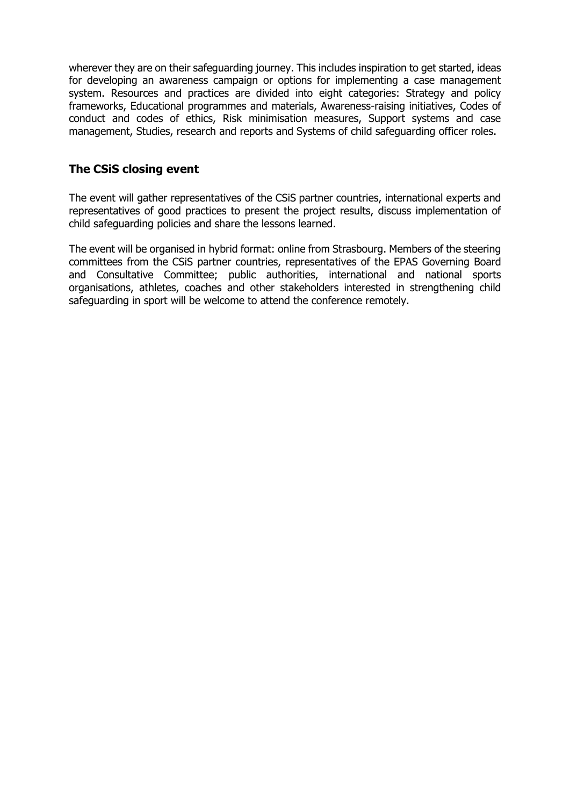wherever they are on their safeguarding journey. This includes inspiration to get started, ideas for developing an awareness campaign or options for implementing a case management system. Resources and practices are divided into eight categories: Strategy and policy frameworks, Educational programmes and materials, Awareness-raising initiatives, Codes of conduct and codes of ethics, Risk minimisation measures, Support systems and case management, Studies, research and reports and Systems of child safeguarding officer roles.

# **The CSiS closing event**

The event will gather representatives of the CSiS partner countries, international experts and representatives of good practices to present the project results, discuss implementation of child safeguarding policies and share the lessons learned.

The event will be organised in hybrid format: online from Strasbourg. Members of the steering committees from the CSiS partner countries, representatives of the EPAS Governing Board and Consultative Committee; public authorities, international and national sports organisations, athletes, coaches and other stakeholders interested in strengthening child safeguarding in sport will be welcome to attend the conference remotely.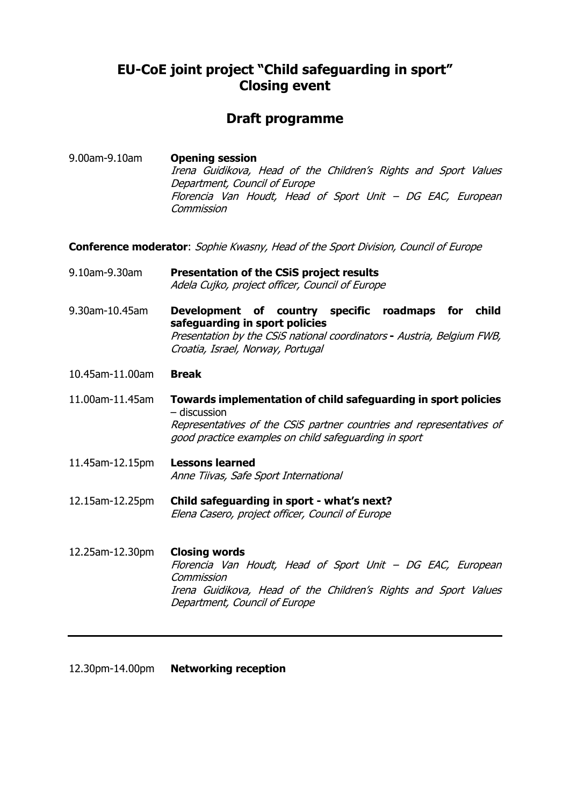# **EU-CoE joint project "Child safeguarding in sport" Closing event**

# **Draft programme**

9.00am-9.10am **Opening session** Irena Guidikova, Head of the Children's Rights and Sport Values Department, Council of Europe Florencia Van Houdt, Head of Sport Unit – DG EAC, European **Commission** 

**Conference moderator**: Sophie Kwasny, Head of the Sport Division, Council of Europe

9.10am-9.30am **Presentation of the CSiS project results** Adela Cujko, project officer, Council of Europe

9.30am-10.45am **Development of country specific roadmaps for child safeguarding in sport policies** Presentation by the CSiS national coordinators **-** Austria, Belgium FWB, Croatia, Israel, Norway, Portugal

- 10.45am-11.00am **Break**
- 11.00am-11.45am **Towards implementation of child safeguarding in sport policies**  – discussion Representatives of the CSiS partner countries and representatives of good practice examples on child safeguarding in sport
- 11.45am-12.15pm **Lessons learned** Anne Tiivas, Safe Sport International
- 12.15am-12.25pm **Child safeguarding in sport - what's next?** Elena Casero, project officer, Council of Europe
- 12.25am-12.30pm **Closing words** Florencia Van Houdt, Head of Sport Unit – DG EAC, European **Commission** Irena Guidikova, Head of the Children's Rights and Sport Values Department, Council of Europe

12.30pm-14.00pm **Networking reception**